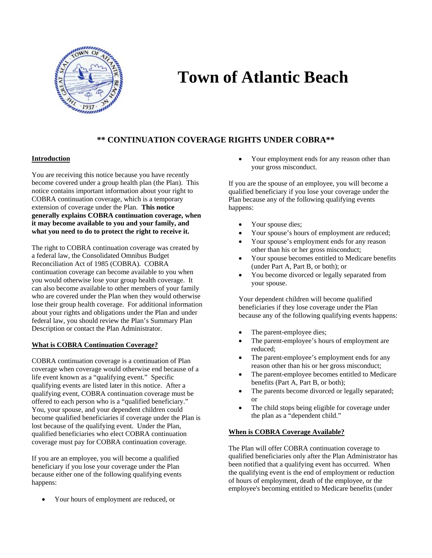

# **Town of Atlantic Beach**

# **\*\* CONTINUATION COVERAGE RIGHTS UNDER COBRA\*\***

# **Introduction**

You are receiving this notice because you have recently become covered under a group health plan (the Plan). This notice contains important information about your right to COBRA continuation coverage, which is a temporary extension of coverage under the Plan. **This notice generally explains COBRA continuation coverage, when it may become available to you and your family, and what you need to do to protect the right to receive it.**

The right to COBRA continuation coverage was created by a federal law, the Consolidated Omnibus Budget Reconciliation Act of 1985 (COBRA). COBRA continuation coverage can become available to you when you would otherwise lose your group health coverage. It can also become available to other members of your family who are covered under the Plan when they would otherwise lose their group health coverage. For additional information about your rights and obligations under the Plan and under federal law, you should review the Plan's Summary Plan Description or contact the Plan Administrator.

# **What is COBRA Continuation Coverage?**

COBRA continuation coverage is a continuation of Plan coverage when coverage would otherwise end because of a life event known as a "qualifying event." Specific qualifying events are listed later in this notice. After a qualifying event, COBRA continuation coverage must be offered to each person who is a "qualified beneficiary." You, your spouse, and your dependent children could become qualified beneficiaries if coverage under the Plan is lost because of the qualifying event. Under the Plan, qualified beneficiaries who elect COBRA continuation coverage must pay for COBRA continuation coverage.

If you are an employee, you will become a qualified beneficiary if you lose your coverage under the Plan because either one of the following qualifying events happens:

Your hours of employment are reduced, or

• Your employment ends for any reason other than your gross misconduct.

If you are the spouse of an employee, you will become a qualified beneficiary if you lose your coverage under the Plan because any of the following qualifying events happens:

- Your spouse dies;
- Your spouse's hours of employment are reduced;
- Your spouse's employment ends for any reason other than his or her gross misconduct;
- Your spouse becomes entitled to Medicare benefits (under Part A, Part B, or both); or
- You become divorced or legally separated from your spouse.

Your dependent children will become qualified beneficiaries if they lose coverage under the Plan because any of the following qualifying events happens:

- The parent-employee dies;
- The parent-employee's hours of employment are reduced;
- The parent-employee's employment ends for any reason other than his or her gross misconduct;
- The parent-employee becomes entitled to Medicare benefits (Part A, Part B, or both);
- The parents become divorced or legally separated; or
- The child stops being eligible for coverage under the plan as a "dependent child."

#### **When is COBRA Coverage Available?**

The Plan will offer COBRA continuation coverage to qualified beneficiaries only after the Plan Administrator has been notified that a qualifying event has occurred. When the qualifying event is the end of employment or reduction of hours of employment, death of the employee, or the employee's becoming entitled to Medicare benefits (under